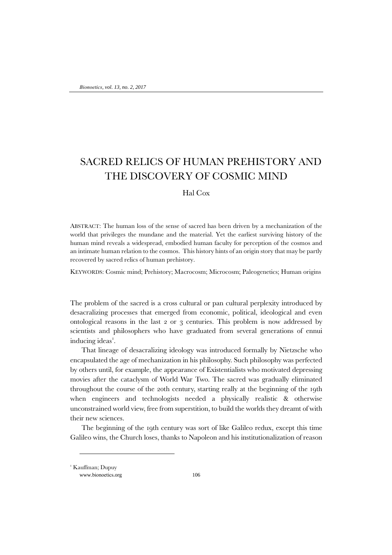## SACRED RELICS OF HUMAN PREHISTORY AND THE DISCOVERY OF COSMIC MIND

## Hal Cox

ABSTRACT: The human loss of the sense of sacred has been driven by a mechanization of the world that privileges the mundane and the material. Yet the earliest surviving history of the human mind reveals a widespread, embodied human faculty for perception of the cosmos and an intimate human relation to the cosmos. This history hints of an origin story that may be partly recovered by sacred relics of human prehistory.

KEYWORDS: Cosmic mind; Prehistory; Macrocosm; Microcosm; Paleogenetics; Human origins

The problem of the sacred is a cross cultural or pan cultural perplexity introduced by desacralizing processes that emerged from economic, political, ideological and even ontological reasons in the last 2 or 3 centuries. This problem is now addressed by scientists and philosophers who have graduated from several generations of ennui inducing ideas<sup>[1](#page-0-0)</sup>.

That lineage of desacralizing ideology was introduced formally by Nietzsche who encapsulated the age of mechanization in his philosophy. Such philosophy was perfected by others until, for example, the appearance of Existentialists who motivated depressing movies after the cataclysm of World War Two. The sacred was gradually eliminated throughout the course of the 20th century, starting really at the beginning of the 19th when engineers and technologists needed a physically realistic & otherwise unconstrained world view, free from superstition, to build the worlds they dreamt of with their new sciences.

The beginning of the 19th century was sort of like Galileo redux, except this time Galileo wins, the Church loses, thanks to Napoleon and his institutionalization of reason

<span id="page-0-0"></span><sup>1</sup> Kauffman; Dupuy

www.bionoetics.org 106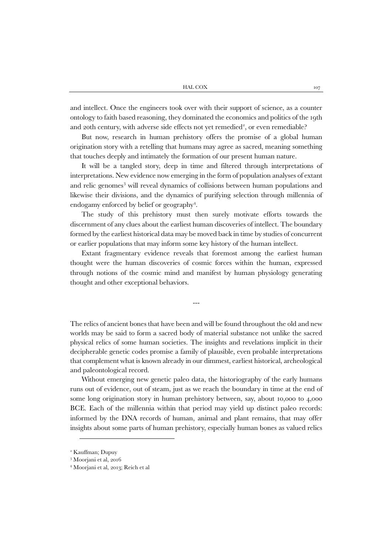and intellect. Once the engineers took over with their support of science, as a counter ontology to faith based reasoning, they dominated the economics and politics of the 19th and [2](#page-1-0)0th century, with adverse side effects not yet remedied<sup>2</sup>, or even remediable?

But now, research in human prehistory offers the promise of a global human origination story with a retelling that humans may agree as sacred, meaning something that touches deeply and intimately the formation of our present human nature.

It will be a tangled story, deep in time and filtered through interpretations of interpretations. New evidence now emerging in the form of population analyses of extant and relic genomes<sup>[3](#page-1-1)</sup> will reveal dynamics of collisions between human populations and likewise their divisions, and the dynamics of purifying selection through millennia of endogamy enforced by belief or geography<sup>[4](#page-1-2)</sup>.

The study of this prehistory must then surely motivate efforts towards the discernment of any clues about the earliest human discoveries of intellect. The boundary formed by the earliest historical data may be moved back in time by studies of concurrent or earlier populations that may inform some key history of the human intellect.

Extant fragmentary evidence reveals that foremost among the earliest human thought were the human discoveries of cosmic forces within the human, expressed through notions of the cosmic mind and manifest by human physiology generating thought and other exceptional behaviors.

---

The relics of ancient bones that have been and will be found throughout the old and new worlds may be said to form a sacred body of material substance not unlike the sacred physical relics of some human societies. The insights and revelations implicit in their decipherable genetic codes promise a family of plausible, even probable interpretations that complement what is known already in our dimmest, earliest historical, archeological and paleontological record.

Without emerging new genetic paleo data, the historiography of the early humans runs out of evidence, out of steam, just as we reach the boundary in time at the end of some long origination story in human prehistory between, say, about 10,000 to 4,000 BCE. Each of the millennia within that period may yield up distinct paleo records: informed by the DNA records of human, animal and plant remains, that may offer insights about some parts of human prehistory, especially human bones as valued relics

1

<span id="page-1-0"></span><sup>2</sup> Kauffman; Dupuy

<span id="page-1-1"></span><sup>3</sup> Moorjani et al, 2016

<span id="page-1-2"></span><sup>4</sup> Moorjani et al, 2013; Reich et al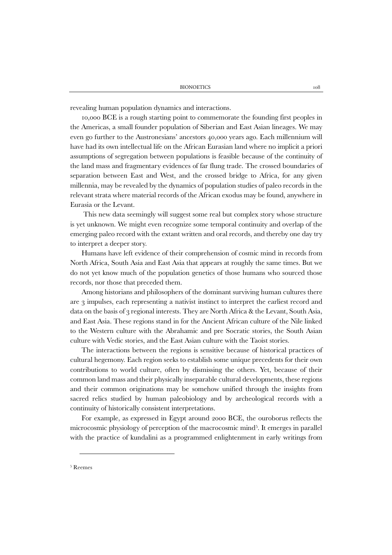revealing human population dynamics and interactions.

10,000 BCE is a rough starting point to commemorate the founding first peoples in the Americas, a small founder population of Siberian and East Asian lineages. We may even go further to the Austronesians' ancestors 40,000 years ago. Each millennium will have had its own intellectual life on the African Eurasian land where no implicit a priori assumptions of segregation between populations is feasible because of the continuity of the land mass and fragmentary evidences of far flung trade. The crossed boundaries of separation between East and West, and the crossed bridge to Africa, for any given millennia, may be revealed by the dynamics of population studies of paleo records in the relevant strata where material records of the African exodus may be found, anywhere in Eurasia or the Levant.

This new data seemingly will suggest some real but complex story whose structure is yet unknown. We might even recognize some temporal continuity and overlap of the emerging paleo record with the extant written and oral records, and thereby one day try to interpret a deeper story.

Humans have left evidence of their comprehension of cosmic mind in records from North Africa, South Asia and East Asia that appears at roughly the same times. But we do not yet know much of the population genetics of those humans who sourced those records, nor those that preceded them.

Among historians and philosophers of the dominant surviving human cultures there are 3 impulses, each representing a nativist instinct to interpret the earliest record and data on the basis of 3 regional interests. They are North Africa & the Levant, South Asia, and East Asia. These regions stand in for the Ancient African culture of the Nile linked to the Western culture with the Abrahamic and pre Socratic stories, the South Asian culture with Vedic stories, and the East Asian culture with the Taoist stories.

The interactions between the regions is sensitive because of historical practices of cultural hegemony. Each region seeks to establish some unique precedents for their own contributions to world culture, often by dismissing the others. Yet, because of their common land mass and their physically inseparable cultural developments, these regions and their common originations may be somehow unified through the insights from sacred relics studied by human paleobiology and by archeological records with a continuity of historically consistent interpretations.

For example, as expressed in Egypt around 2000 BCE, the ouroborus reflects the microcosmic physiology of perception of the macrocosmic mind<sup>[5](#page-2-0)</sup>. It emerges in parallel with the practice of kundalini as a programmed enlightenment in early writings from

<span id="page-2-0"></span><sup>5</sup> Reemes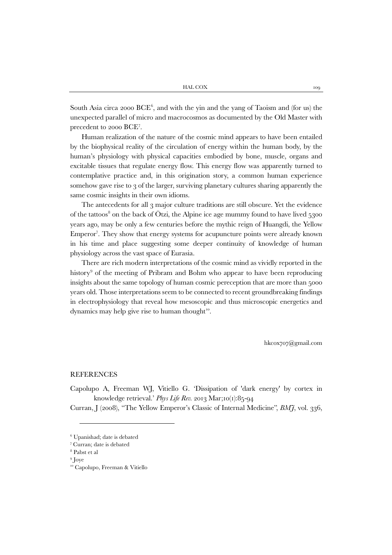South Asia circa 2000  $BCE^6$  $BCE^6$ , and with the yin and the yang of Taoism and (for us) the unexpected parallel of micro and macrocosmos as documented by the Old Master with precedent to 2000 BCE[7](#page-3-1) .

Human realization of the nature of the cosmic mind appears to have been entailed by the biophysical reality of the circulation of energy within the human body, by the human's physiology with physical capacities embodied by bone, muscle, organs and excitable tissues that regulate energy flow. This energy flow was apparently turned to contemplative practice and, in this origination story, a common human experience somehow gave rise to 3 of the larger, surviving planetary cultures sharing apparently the same cosmic insights in their own idioms.

The antecedents for all 3 major culture traditions are still obscure. Yet the evidence of the tattoos<sup>[8](#page-3-2)</sup> on the back of Ötzi, the Alpine ice age mummy found to have lived  $5300$ years ago, may be only a few centuries before the mythic reign of Huangdi, the Yellow Emperor<sup>7</sup>. They show that energy systems for acupuncture points were already known in his time and place suggesting some deeper continuity of knowledge of human physiology across the vast space of Eurasia.

There are rich modern interpretations of the cosmic mind as vividly reported in the history<sup>[9](#page-3-3)</sup> of the meeting of Pribram and Bohm who appear to have been reproducing insights about the same topology of human cosmic pereception that are more than 5000 years old. Those interpretations seem to be connected to recent groundbreaking findings in electrophysiology that reveal how mesoscopic and thus microscopic energetics and dynamics may help give rise to human thought<sup>[10](#page-3-4)</sup>.

hkcox707@gmail.com

## **REFERENCES**

Capolupo A, Freeman WJ, Vitiello G. 'Dissipation of 'dark energy' by cortex in knowledge retrieval.' *Phys Life Rev.* 2013 Mar;10(1):85-94

Curran, J (2008), "The Yellow Emperor's Classic of Internal Medicine", *BMJ*, vol. 336,

**.** 

<span id="page-3-0"></span><sup>6</sup> Upanishad; date is debated

<span id="page-3-1"></span><sup>7</sup> Curran; date is debated

<span id="page-3-2"></span><sup>8</sup> Pabst et al

<span id="page-3-4"></span><span id="page-3-3"></span><sup>9</sup> Joye

<sup>10</sup> Capolupo, Freeman & Vitiello